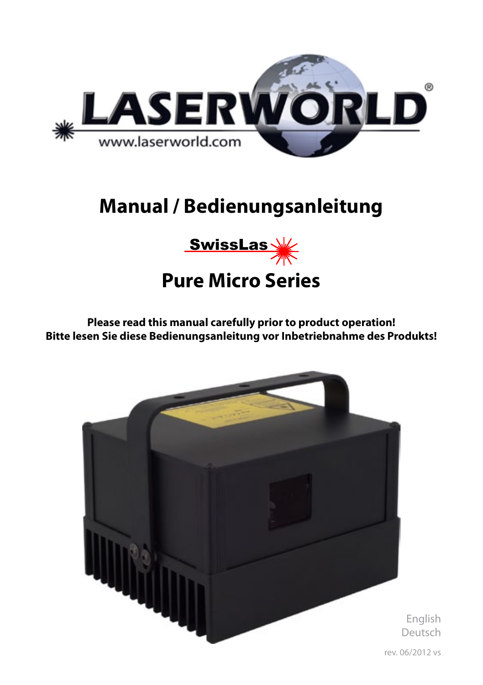

# **Manual / Bedienungsanleitung**



**Please read this manual carefully prior to product operation! Bitte lesen Sie diese Bedienungsanleitung vor Inbetriebnahme des Produkts!** 

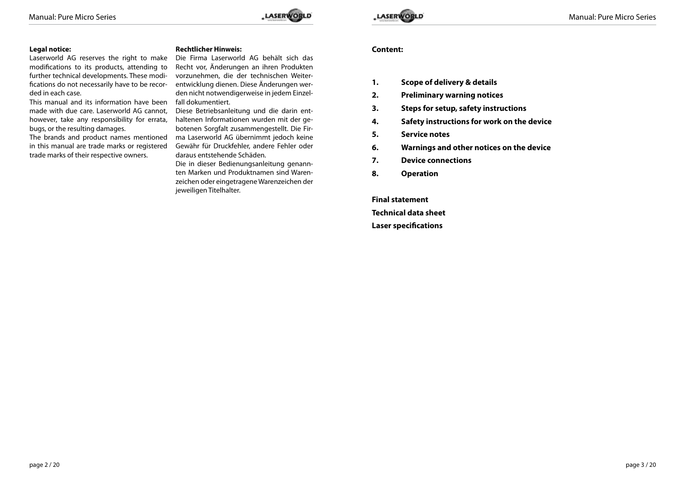

### **Legal notice:**

Laserworld AG reserves the right to make modifications to its products, attending to further technical developments. These modifications do not necessarily have to be recorded in each case.

This manual and its information have been falldokumentiert. made with due care. Laserworld AG cannot, however, take any responsibility for errata, bugs, or the resulting damages.

The brands and product names mentioned in this manual are trade marks or registered trade marks of their respective owners.

### **Rechtlicher Hinweis:**

Die Firma Laserworld AG behält sich das Recht vor, Änderungen an ihren Produkten vorzunehmen, die der technischen Weiterentwicklung dienen. Diese Änderungen werden nicht notwendigerweise in jedem Einzel-

Diese Betriebsanleitung und die darin enthaltenen Informationen wurden mit der gebotenen Sorgfalt zusammengestellt. Die Firma Laserworld AG übernimmt jedoch keine Gewähr für Druckfehler, andere Fehler oder daraus entstehende Schäden.

Die in dieser Bedienungsanleitung genannten Marken und Produktnamen sind Warenzeichen oder eingetragene Warenzeichen der jeweiligen Titelhalter.

### **Content:**

- **1. Scope of delivery & details**
- **2. Preliminary warning notices**
- **3. Steps for setup, safety instructions**
- **4. Safety instructions for work on the device**
- **5. Service notes**
- **6. Warnings and other notices on the device**
- **7. Device connections**
- **8. Operation**

**Final statement Technical data sheet Laser specifications**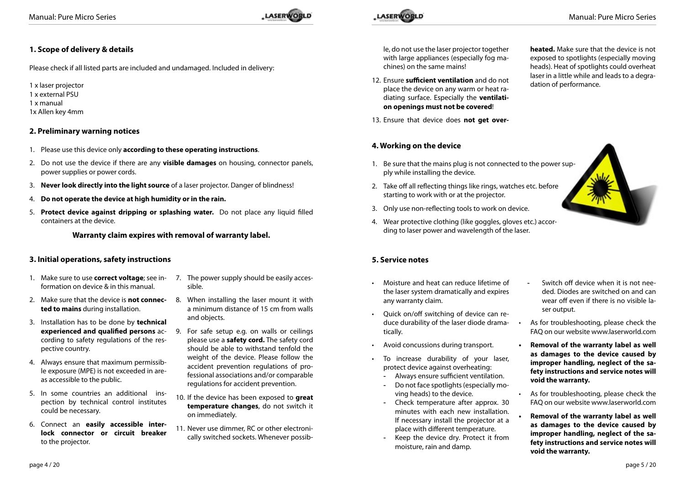## **1. Scope of delivery & details**

Please check if all listed parts are included and undamaged. Included in delivery:

1 x laser projector 1 x external PSU 1 x manual 1x Allen key 4mm

### **2. Preliminary warning notices**

- 1. Please use this device only **according to these operating instructions**.
- 2. Do not use the device if there are any **visible damages** on housing, connector panels, power supplies or power cords.
- 3. **Never look directly into the light source** of a laser projector. Danger of blindness!
- 4. **Do not operate the device at high humidity or in the rain.**
- 5. **Protect device against dripping or splashing water.** Do not place any liquid filled containers at the device.

### **Warranty claim expires with removal of warranty label.**

### **3. Initial operations, safety instructions**

- 1. Make sure to use **correct voltage**; see in-7. The power supply should be easily accesformation on device & in this manual.
- 2. Make sure that the device is **not connec-**8. When installing the laser mount it with **ted to mains** during installation.
- 3. Installation has to be done by **technical**  cording to safety regulations of the respective country.
- 4. Always ensure that maximum permissible exposure (MPE) is not exceeded in areas accessible to the public.
- 5. In some countries an additional inspection by technical control institutes could be necessary.
- 6. Connect an **easily accessible interlock connector or circuit breaker** to the projector.
- 
- sible.
- a minimum distance of 15 cm from walls and objects.
- **experienced and qualified persons** ac-9. For safe setup e.g. on walls or ceilings please use a **safety cord.** The safety cord should be able to withstand tenfold the weight of the device. Please follow the accident prevention regulations of professional associations and/or comparable regulations for accident prevention.
	- 10. If the device has been exposed to **great temperature changes**, do not switch it on immediately.
	- 11. Never use dimmer, RC or other electronically switched sockets. Whenever possib-

le, do not use the laser projector together with large appliances (especially fog machines) on the same mains!

- 12. Ensure **sufficient ventilation** and do not place the device on any warm or heat radiating surface. Especially the **ventilation openings must not be covered**!
- 13. Ensure that device does **not get over-**

### **4. Working on the device**

- 1. Be sure that the mains plug is not connected to the power supply while installing the device.
- 2. Take off all reflecting things like rings, watches etc. before starting to work with or at the projector.
- 3. Only use non-reflecting tools to work on device.
- 4. Wear protective clothing (like goggles, gloves etc.) according to laser power and wavelength of the laser.

### **5. Service notes**

- • Moisture and heat can reduce lifetime of the laser system dramatically and expires any warranty claim.
- • Quick on/off switching of device can reduce durability of the laser diode dramatically.
- Avoid concussions during transport.
- To increase durability of your laser, protect device against overheating:
	- Always ensure sufficient ventilation.
	- Do not face spotlights (especially moving heads) to the device.
	- Check temperature after approx. 30 minutes with each new installation. If necessary install the projector at a place with different temperature.
	- Keep the device dry. Protect it from moisture, rain and damp.

**heated.** Make sure that the device is not exposed to spotlights (especially moving heads). Heat of spotlights could overheat laser in a little while and leads to a degradation of performance.

- Switch off device when it is not needed. Diodes are switched on and can wear off even if there is no visible laser output.
- As for troubleshooting, please check the FAQ on our website www.laserworld.com
- **• Removal of the warranty label as well as damages to the device caused by improper handling, neglect of the safety instructions and service notes will void the warranty.**
- As for troubleshooting, please check the FAQ on our website www.laserworld.com
- **Removal of the warranty label as well as damages to the device caused by improper handling, neglect of the safety instructions and service notes will void the warranty.**



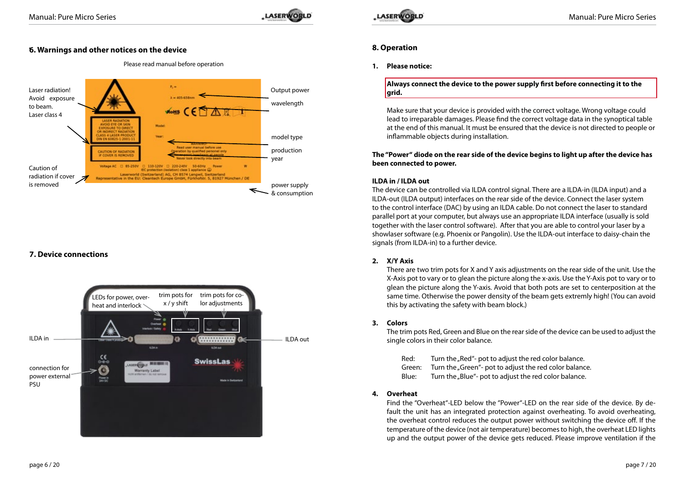

### • **6. Warnings and other notices on the device**

Please read manual before operation



### **7. Device connections**





### **8. Operation**

### **1. Please notice:**

**Always connect the device to the power supply first before connecting it to the grid.**

Make sure that your device is provided with the correct voltage. Wrong voltage could lead to irreparable damages. Please find the correct voltage data in the synoptical table at the end of this manual. It must be ensured that the device is not directed to people or inflammable objects during installation.

### **The "Power" diode on the rear side of the device begins to light up after the device has been connected to power.**

### **ILDA in / ILDA out**

The device can be controlled via ILDA control signal. There are a ILDA-in (ILDA input) and a ILDA-out (ILDA output) interfaces on the rear side of the device. Connect the laser system to the control interface (DAC) by using an ILDA cable. Do not connect the laser to standard parallel port at your computer, but always use an appropriate ILDA interface (usually is sold together with the laser control software). After that you are able to control your laser by a showlaser software (e.g. Phoenix or Pangolin). Use the ILDA-out interface to daisy-chain the signals (from ILDA-in) to a further device.

### **2. X/Y Axis**

There are two trim pots for X and Y axis adjustments on the rear side of the unit. Use the X-Axis pot to vary or to glean the picture along the x-axis. Use the Y-Axis pot to vary or to glean the picture along the Y-axis. Avoid that both pots are set to centerposition at the same time. Otherwise the power density of the beam gets extremly high! (You can avoid this by activating the safety with beam block.)

### **3. Colors**

The trim pots Red, Green and Blue on the rear side of the device can be used to adjust the single colors in their color balance.

- Red: Turn the "Red"- pot to adjust the red color balance.
- Green: Turn the "Green"- pot to adjust the red color balance.
- Blue: Turn the "Blue"- pot to adjust the red color balance.

### **4. Overheat**

Find the "Overheat"-LED below the "Power"-LED on the rear side of the device. By default the unit has an integrated protection against overheating. To avoid overheating, the overheat control reduces the output power without switching the device off. If the temperature of the device (not air temperature) becomes to high, the overheat LED lights up and the output power of the device gets reduced. Please improve ventilation if the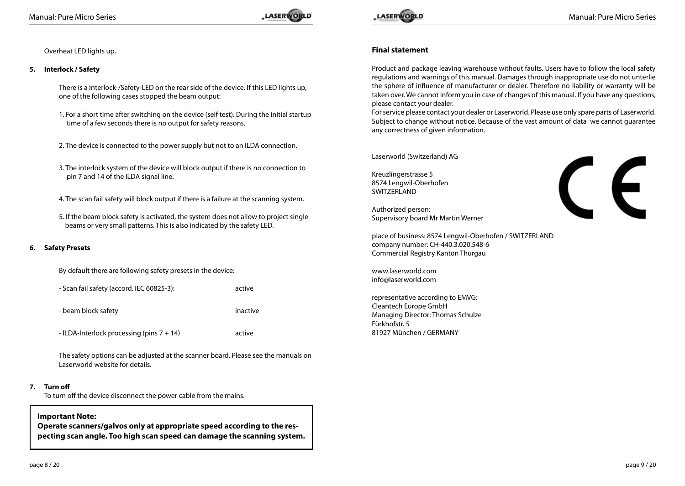

Overheat LED lights up.

### **5. Interlock / Safety**

There is a Interlock-/Safety-LED on the rear side of the device. If this LED lights up, one of the following cases stopped the beam output:

- 1. For a short time after switching on the device (self test). During the initial startup time of a few seconds there is no output for safety reasons.
- 2. The device is connected to the power supply but not to an ILDA connection.
- 3. The interlock system of the device will block output if there is no connection to pin 7 and 14 of the ILDA signal line.
- 4. The scan fail safety will block output if there is a failure at the scanning system.
- 5. If the beam block safety is activated, the system does not allow to project single beams or very small patterns. This is also indicated by the safety LED.

### **6. Safety Presets**

By default there are following safety presets in the device:

- Scan fail safety (accord. IEC 60825-3): active

- beam block safety inactive

- ILDA-Interlock processing (pins 7 + 14) active

The safety options can be adjusted at the scanner board. Please see the manuals on Laserworld website for details.

### **7. Turn off**

To turn off the device disconnect the power cable from the mains.

### **Important Note:**

**Operate scanners/galvos only at appropriate speed according to the respecting scan angle. Too high scan speed can damage the scanning system.**



CE

### **Final statement**

Product and package leaving warehouse without faults. Users have to follow the local safety regulations and warnings of this manual. Damages through inappropriate use do not unterlie the sphere of influence of manufacturer or dealer. Therefore no liability or warranty will be taken over. We cannot inform you in case of changes of this manual. If you have any questions, please contact your dealer.

For service please contact your dealer or Laserworld. Please use only spare parts of Laserworld. Subject to change without notice. Because of the vast amount of data we cannot guarantee any correctness of given information.

Laserworld (Switzerland) AG

Kreuzlingerstrasse 5 8574 Lengwil-Oberhofen SWITZERLAND

Authorized person: Supervisory board Mr Martin Werner

place of business: 8574 Lengwil-Oberhofen / SWITZERLAND company number: CH-440.3.020.548-6 Commercial Registry Kanton Thurgau

www.laserworld.com info@laserworld.com

representative according to EMVG: Cleantech Europe GmbH Managing Director: Thomas Schulze Fürkhofstr. 5 81927 München / GERMANY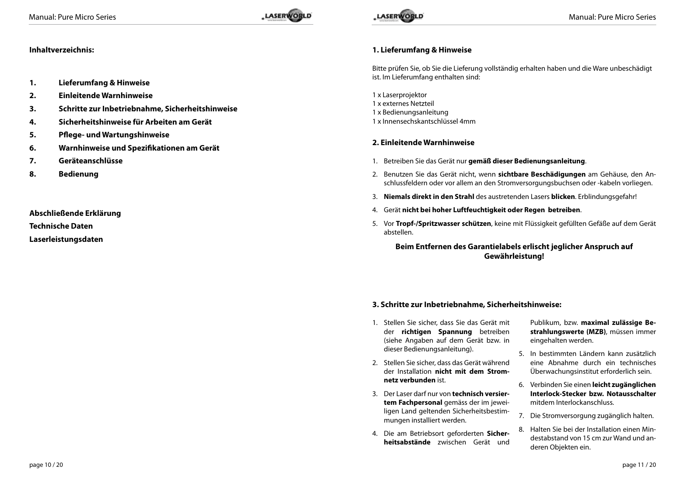### **Inhaltverzeichnis:**

- **1. Lieferumfang & Hinweise**
- **2. Einleitende Warnhinweise**
- **3. Schritte zur Inbetriebnahme, Sicherheitshinweise**
- **4. Sicherheitshinweise für Arbeiten am Gerät**
- **5. Pflege- und Wartungshinweise**
- **6. Warnhinweise und Spezifikationen am Gerät**
- **7. Geräteanschlüsse**
- **8. Bedienung**

**Abschließende Erklärung** 

**Technische Daten**

**Laserleistungsdaten**

### **1. Lieferumfang & Hinweise**

Bitte prüfen Sie, ob Sie die Lieferung vollständig erhalten haben und die Ware unbeschädigt ist. Im Lieferumfang enthalten sind:

1 x Laserprojektor

- 1 x externes Netzteil
- 1 x Bedienungsanleitung
- 1 x Innensechskantschlüssel 4mm

### **2. Einleitende Warnhinweise**

- 1. Betreiben Sie das Gerät nur **gemäß dieser Bedienungsanleitung**.
- 2. Benutzen Sie das Gerät nicht, wenn **sichtbare Beschädigungen** am Gehäuse, den Anschlussfeldern oder vor allem an den Stromversorgungsbuchsen oder -kabeln vorliegen.
- 3. **Niemals direkt in den Strahl** des austretenden Lasers **blicken**. Erblindungsgefahr!
- 4. Gerät **nicht bei hoher Luftfeuchtigkeit oder Regen betreiben**.
- 5. Vor **Tropf-/Spritzwasser schützen**, keine mit Flüssigkeit gefüllten Gefäße auf dem Gerät abstellen.

### **Beim Entfernen des Garantielabels erlischt jeglicher Anspruch auf Gewährleistung!**

### **3. Schritte zur Inbetriebnahme, Sicherheitshinweise:**

- 1. Stellen Sie sicher, dass Sie das Gerät mit der **richtigen Spannung** betreiben (siehe Angaben auf dem Gerät bzw. in dieser Bedienungsanleitung).
- 2. Stellen Sie sicher, dass das Gerät während der Installation **nicht mit dem Stromnetz verbunden** ist.
- 3. Der Laser darf nur von **technisch versiertem Fachpersonal** gemäss der im jeweiligen Land geltenden Sicherheitsbestimmungen installiert werden.
- 4. Die am Betriebsort geforderten **Sicherheitsabstände** zwischen Gerät und

Publikum, bzw. **maximal zulässige Bestrahlungswerte (MZB)**, müssen immer eingehalten werden.

- 5. In bestimmten Ländern kann zusätzlich eine Abnahme durch ein technisches Überwachungsinstitut erforderlich sein.
- 6. Verbinden Sie einen **leicht zugänglichen Interlock-Stecker bzw. Notausschalter**  mitdem Interlockanschluss.
- 7. Die Stromversorgung zugänglich halten.
- 8. Halten Sie bei der Installation einen Mindestabstand von 15 cm zur Wand und anderen Objekten ein.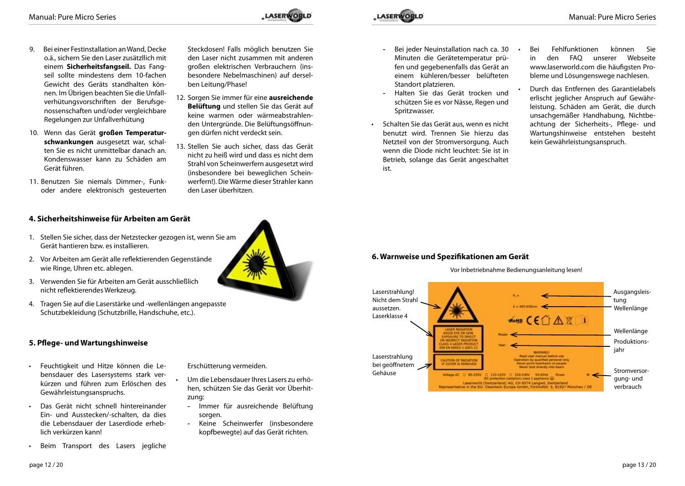- 9. Bei einer Festinstallation an Wand, Decke o.ä., sichern Sie den Laser zusätzllich mit einem **Sicherheitsfangseil.** Das Fangseil sollte mindestens dem 10-fachen Gewicht des Geräts standhalten können. Im Übrigen beachten Sie die Unfallverhütungsvorschriften der Berufsgenossenschaften und/oder vergleichbare Regelungen zur Unfallverhütung
- 10. Wenn das Gerät **großen Temperaturschwankungen** ausgesetzt war, schalten Sie es nicht unmittelbar danach an. Kondenswasser kann zu Schäden am Gerät führen.
- 11. Benutzen Sie niemals Dimmer-, Funkoder andere elektronisch gesteuerten

Steckdosen! Falls möglich benutzen Sie den Laser nicht zusammen mit anderen großen elektrischen Verbrauchern (insbesondere Nebelmaschinen) auf derselben Leitung/Phase!

- 12. Sorgen Sie immer für eine **ausreichende Belüftung** und stellen Sie das Gerät auf keine warmen oder wärmeabstrahlenden Untergründe. Die Belüftungsöffnungen dürfen nicht verdeckt sein.
- 13. Stellen Sie auch sicher, dass das Gerät nicht zu heiß wird und dass es nicht dem Strahl von Scheinwerfern ausgesetzt wird (insbesondere bei beweglichen Scheinwerfern!). Die Wärme dieser Strahler kann den Laser überhitzen.

Erschütterung vermeiden.

zung:

sorgen.

Um die Lebensdauer Ihres Lasers zu erhöhen, schützen Sie das Gerät vor Überhit-

- Immer für ausreichende Belüftung

- Keine Scheinwerfer (insbesondere kopfbewegte) auf das Gerät richten.

- **4. Sicherheitshinweise für Arbeiten am Gerät**
- 1. Stellen Sie sicher, dass der Netzstecker gezogen ist, wenn Sie am Gerät hantieren bzw. es installieren.
- 2. Vor Arbeiten am Gerät alle reflektierenden Gegenstände wie Ringe, Uhren etc. ablegen.
- 3. Verwenden Sie für Arbeiten am Gerät ausschließlich nicht reflektierendes Werkzeug.
- 4. Tragen Sie auf die Laserstärke und -wellenlängen angepasste Schutzbekleidung (Schutzbrille, Handschuhe, etc.).

### **5. Pflege- und Wartungshinweise**

- • Feuchtigkeit und Hitze können die Lebensdauer des Lasersystems stark verkürzen und führen zum Erlöschen des Gewährleistungsanspruchs.
- Das Gerät nicht schnell hintereinander Ein- und Ausstecken/-schalten, da dies die Lebensdauer der Laserdiode erheblich verkürzen kann!
- Beim Transport des Lasers jegliche



- Bei jeder Neuinstallation nach ca. 30 Minuten die Gerätetemperatur prüfen und gegebenenfalls das Gerät an einem kühleren/besser belüfteten Standort platzieren.
- Halten Sie das Gerät trocken und schützen Sie es vor Nässe, Regen und Spritzwasser.
- Schalten Sie das Gerät aus, wenn es nicht benutzt wird. Trennen Sie hierzu das Netzteil von der Stromversorgung. Auch wenn die Diode nicht leuchtet: Sie ist in Betrieb, solange das Gerät angeschaltet ist.
- Bei Fehlfunktionen können Sie in den FAQ unserer Webseite www.laserworld.com die häufigsten Probleme und Lösungenswege nachlesen.
- Durch das Entfernen des Garantielabels erlischt jeglicher Anspruch auf Gewährleistung. Schäden am Gerät, die durch unsachgemäßer Handhabung, Nichtbeachtung der Sicherheits-, Pflege- und Wartungshinweise entstehen besteht kein Gewährleistungsanspruch.

### **6. Warnweise und Spezifikationen am Gerät**



Vor Inbetriebnahme Bedienungsanleitung lesen!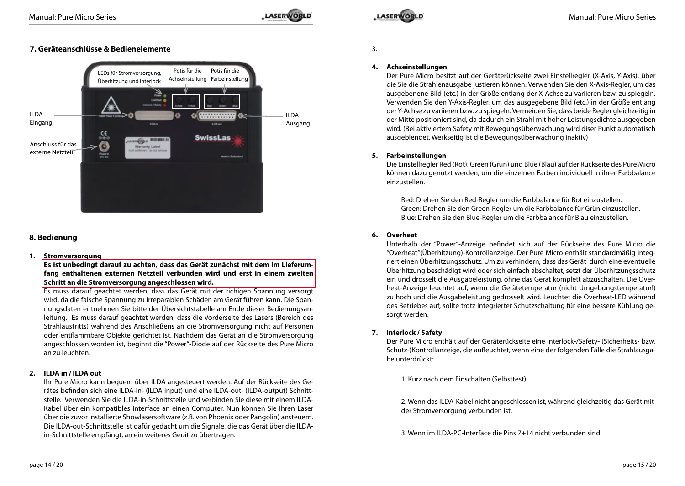### **7. Geräteanschlüsse & Bedienelemente**



### **8. Bedienung**

### **1. Stromversorgung**

**Es ist unbedingt darauf zu achten, dass das Gerät zunächst mit dem im Lieferumfang enthaltenen externen Netzteil verbunden wird und erst in einem zweiten Schritt an die Stromversorgung angeschlossen wird.**

Es muss darauf geachtet werden, dass das Gerät mit der richigen Spannung versorgt wird, da die falsche Spannung zu irreparablen Schäden am Gerät führen kann. Die Spannungsdaten entnehmen Sie bitte der Übersichtstabelle am Ende dieser Bedienungsanleitung. Es muss darauf geachtet werden, dass die Vorderseite des Lasers (Bereich des Strahlaustritts) während des Anschließens an die Stromversorgung nicht auf Personen oder entflammbare Objekte gerichtet ist. Nachdem das Gerät an die Stromversorgung angeschlossen worden ist, beginnt die "Power"-Diode auf der Rückseite des Pure Micro an zu leuchten.

### **2. ILDA in / ILDA out**

Ihr Pure Micro kann bequem über ILDA angesteuert werden. Auf der Rückseite des Gerätes befinden sich eine ILDA-in- (ILDA input) und eine ILDA-out- (ILDA-output) Schnittstelle. Verwenden Sie die ILDA-in-Schnittstelle und verbinden Sie diese mit einem ILDA-Kabel über ein kompatibles Interface an einen Computer. Nun können Sie Ihren Laser über die zuvor installierte Showlasersoftware (z.B. von Phoenix oder Pangolin) ansteuern. Die ILDA-out-Schnittstelle ist dafür gedacht um die Signale, die das Gerät über die ILDAin-Schnittstelle empfängt, an ein weiteres Gerät zu übertragen.

3.

### **4. Achseinstellungen**

Der Pure Micro besitzt auf der Geräterückseite zwei Einstellregler (X-Axis, Y-Axis), über die Sie die Strahlenausgabe justieren können. Verwenden Sie den X-Axis-Regler, um das ausgebenene Bild (etc.) in der Größe entlang der X-Achse zu variieren bzw. zu spiegeln. Verwenden Sie den Y-Axis-Regler, um das ausgegebene Bild (etc.) in der Größe entlang der Y-Achse zu variieren bzw. zu spiegeln. Vermeiden Sie, dass beide Regler gleichzeitig in der Mitte positioniert sind, da dadurch ein Strahl mit hoher Leistungsdichte ausgegeben wird. (Bei aktiviertem Safety mit Bewegungsüberwachung wird diser Punkt automatisch ausgeblendet. Werkseitig ist die Bewegungsüberwachung inaktiv)

### **5. Farbeinstellungen**

Die Einstellregler Red (Rot), Green (Grün) und Blue (Blau) auf der Rückseite des Pure Micro können dazu genutzt werden, um die einzelnen Farben individuell in ihrer Farbbalance einzustellen.

Red: Drehen Sie den Red-Regler um die Farbbalance für Rot einzustellen. Green: Drehen Sie den Green-Regler um die Farbbalance für Grün einzustellen. Blue: Drehen Sie den Blue-Regler um die Farbbalance für Blau einzustellen.

### **6. Overheat**

Unterhalb der "Power"-Anzeige befindet sich auf der Rückseite des Pure Micro die "Overheat"(Überhitzung)-Kontrollanzeige. Der Pure Micro enthält standardmäßig integriert einen Überhitzungsschutz. Um zu verhindern, dass das Gerät durch eine eventuelle Überhitzung beschädigt wird oder sich einfach abschaltet, setzt der Überhitzungsschutz ein und drosselt die Ausgabeleistung, ohne das Gerät komplett abzuschalten. Die Overheat-Anzeige leuchtet auf, wenn die Gerätetemperatur (nicht Umgebungstemperatur!) zu hoch und die Ausgabeleistung gedrosselt wird. Leuchtet die Overheat-LED während des Betriebes auf, sollte trotz integrierter Schutzschaltung für eine bessere Kühlung gesorgt werden.

### **7. Interlock / Safety**

Der Pure Micro enthält auf der Geräterückseite eine Interlock-/Safety- (Sicherheits- bzw. Schutz-)Kontrollanzeige, die aufleuchtet, wenn eine der folgenden Fälle die Strahlausgabe unterdrückt:

1. Kurz nach dem Einschalten (Selbsttest)

2. Wenn das ILDA-Kabel nicht angeschlossen ist, während gleichzeitig das Gerät mit der Stromversorgung verbunden ist.

3. Wenn im ILDA-PC-Interface die Pins 7+14 nicht verbunden sind.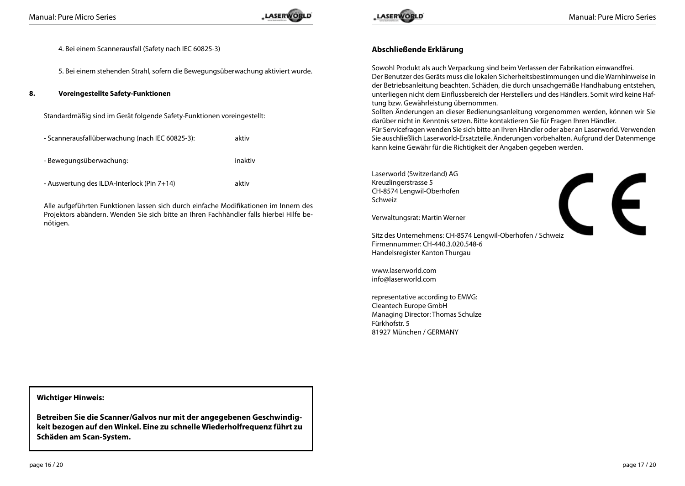

CE

4. Bei einem Scannerausfall (Safety nach IEC 60825-3)

5. Bei einem stehenden Strahl, sofern die Bewegungsüberwachung aktiviert wurde.

**8. Voreingestellte Safety-Funktionen**

| Standardmäßig sind im Gerät folgende Safety-Funktionen voreingestellt: |  |
|------------------------------------------------------------------------|--|
|                                                                        |  |

| - Scannerausfallüberwachung (nach IEC 60825-3): | aktiv   |
|-------------------------------------------------|---------|
| - Bewegungsüberwachung:                         | inaktiv |
| - Auswertung des ILDA-Interlock (Pin 7+14)      | aktiv   |

Alle aufgeführten Funktionen lassen sich durch einfache Modifikationen im Innern des Projektors abändern. Wenden Sie sich bitte an Ihren Fachhändler falls hierbei Hilfe benötigen.

### **Abschließende Erklärung**

Sowohl Produkt als auch Verpackung sind beim Verlassen der Fabrikation einwandfrei. Der Benutzer des Geräts muss die lokalen Sicherheitsbestimmungen und die Warnhinweise in der Betriebsanleitung beachten. Schäden, die durch unsachgemäße Handhabung entstehen, unterliegen nicht dem Einflussbereich der Herstellers und des Händlers. Somit wird keine Haftung bzw. Gewährleistung übernommen.

Sollten Änderungen an dieser Bedienungsanleitung vorgenommen werden, können wir Sie darüber nicht in Kenntnis setzen. Bitte kontaktieren Sie für Fragen Ihren Händler.

Für Servicefragen wenden Sie sich bitte an Ihren Händler oder aber an Laserworld. Verwenden Sie auschließlich Laserworld-Ersatzteile. Änderungen vorbehalten. Aufgrund der Datenmenge kann keine Gewähr für die Richtigkeit der Angaben gegeben werden.

Laserworld (Switzerland) AG Kreuzlingerstrasse 5 CH-8574 Lengwil-Oberhofen Schweiz

Verwaltungsrat: Martin Werner

Sitz des Unternehmens: CH-8574 Lengwil-Oberhofen / Schweiz Firmennummer: CH-440.3.020.548-6 Handelsregister Kanton Thurgau

www.laserworld.com info@laserworld.com

representative according to EMVG: Cleantech Europe GmbH Managing Director: Thomas Schulze Fürkhofstr. 5 81927 München / GERMANY

**Wichtiger Hinweis:**

**Betreiben Sie die Scanner/Galvos nur mit der angegebenen Geschwindigkeit bezogen auf den Winkel. Eine zu schnelle Wiederholfrequenz führt zu Schäden am Scan-System.**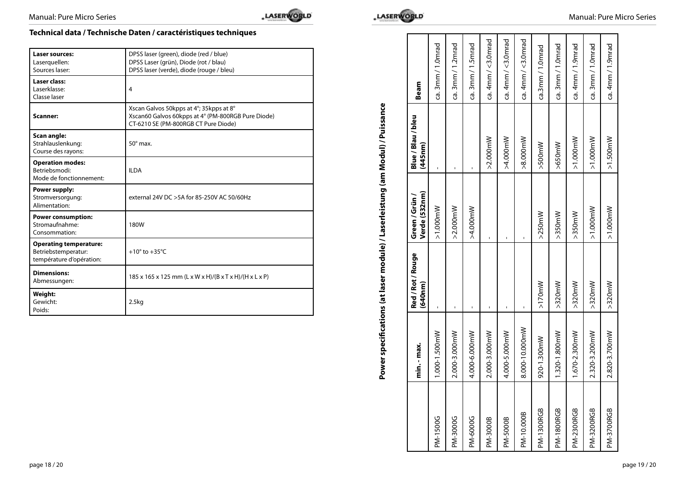# **Technical data / Technische Daten / caractéristiques techniques**

| <b>Laser sources:</b><br>Laserguellen:<br>Sources laser:                         | DPSS laser (green), diode (red / blue)<br>DPSS Laser (grün), Diode (rot / blau)<br>DPSS laser (verde), diode (rouge / bleu)           |
|----------------------------------------------------------------------------------|---------------------------------------------------------------------------------------------------------------------------------------|
| Laser class:<br>Laserklasse:<br>Classe laser                                     | 4                                                                                                                                     |
| Scanner:                                                                         | Xscan Galvos 50kpps at 4°; 35kpps at 8°<br>Xscan60 Galvos 60kpps at 4° (PM-800RGB Pure Diode)<br>CT-6210 SE (PM-800RGB CT Pure Diode) |
| Scan angle:<br>Strahlauslenkung:<br>Course des rayons:                           | $50^\circ$ max.                                                                                                                       |
| <b>Operation modes:</b><br>Betriebsmodi:<br>Mode de fonctionnement:              | <b>ILDA</b>                                                                                                                           |
| Power supply:<br>Stromversorgung:<br>Alimentation:                               | external 24V DC > 5A for 85-250V AC 50/60Hz                                                                                           |
| <b>Power consumption:</b><br>Stromaufnahme:<br>Consommation:                     | 180W                                                                                                                                  |
| <b>Operating temperature:</b><br>Betriebstemperatur:<br>température d'opération: | $+10^{\circ}$ to $+35^{\circ}$ C                                                                                                      |
| <b>Dimensions:</b><br>Abmessungen:                                               | 185 x 165 x 125 mm (L x W x H)/(B x T x H)/(H x L x P)                                                                                |
| Weight:<br>Gewicht:<br>Poids:                                                    | 2.5kg                                                                                                                                 |



|                   | min. - max.    | Red / Rot / Rouge<br>(640nm) | Verde (532nm)<br>Green / Grün | Blue / Blau / bleu<br>(445nm) | Beam               |
|-------------------|----------------|------------------------------|-------------------------------|-------------------------------|--------------------|
| PM-1500G          | 1.000-1.500mW  | ï                            | $>1.000$ mW                   |                               | ca. 3mm / 1.0mrad  |
| PM-3000G          | 2.000-3.000mW  |                              | $>2.000$ mW                   |                               | ca. 3mm / 1.2mrad  |
| PM-6000G          | 4.000-6.000mW  |                              | $>4.000$ mW                   |                               | ca. 3mm / 1.5mrad  |
| PM-3000B          | 2.000-3.000mW  |                              |                               | $>2.000$ mW                   | ca. 4mm / <3.0mrad |
| PM-5000B          | 4.000-5.000mW  |                              |                               | $>4.000$ mW                   | ca. 4mm / <3.0mrad |
| PM-10.000B        | 8.000-10.000mW |                              |                               | $>8.000$ mW                   | ca. 4mm / <3.0mrac |
| <b>PM-1300RGB</b> | 920-1.300mW    | $>170$ mW                    | $>250$ mW                     | $\times$ 500mW                | ca.3mm / 1.0mrad   |
| <b>PM-1800RGB</b> | 1.320-1.800mW  | $>320$ mW                    | $>350$ mW                     | $>650$ mW                     | ca. 3mm / 1.0mrad  |
| PM-2300RGB        | 1.670-2.300mW  | $>320$ mW                    | $>350$ mW                     | $>1.000$ mW                   | ca. 4mm / 1.9mrad  |
| <b>PM-3200RGB</b> | 2.320-3.200mW  | $>320$ mW                    | $>1.000$ mW                   | $>1.000$ mW                   | ca. 3mm / 1.0mrad  |
| <b>PM-3700RGB</b> | 2.820-3.700mW  | $>320$ mW                    | $>1.000$ mW                   | $>1.500m$ W                   | ca. 4mm / 1.9mrad  |
|                   |                |                              |                               |                               |                    |

# Power specifications (at laser module) / Laserleistung (am Modul) / Puissance **Power specifications (at laser module) / Laserleistung (am Modul) / Puissance**